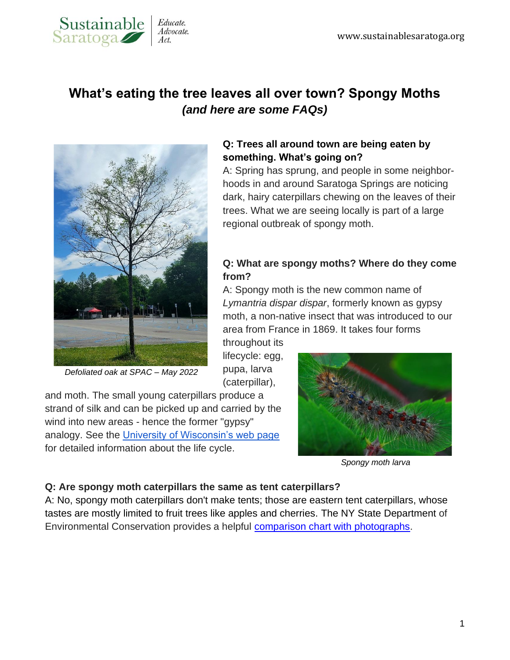

# **What's eating the tree leaves all over town? Spongy Moths** *(and here are some FAQs)*



*Defoliated oak at SPAC – May 2022*

# **Q: Trees all around town are being eaten by something. What's going on?**

A: Spring has sprung, and people in some neighborhoods in and around Saratoga Springs are noticing dark, hairy caterpillars chewing on the leaves of their trees. What we are seeing locally is part of a large regional outbreak of spongy moth.

# **Q: What are spongy moths? Where do they come from?**

A: Spongy moth is the new common name of *Lymantria dispar dispar*, formerly known as gypsy moth, a non-native insect that was introduced to our area from France in 1869. It takes four forms

throughout its lifecycle: egg, pupa, larva (caterpillar),

and moth. The small young caterpillars produce a strand of silk and can be picked up and carried by the wind into new areas - hence the former "gypsy" analogy. See the [University of Wisconsin's web page](https://fyi.extension.wisc.edu/spongymothinwisconsin/life-cycle-and-biology-3/life-cycle/) for detailed information about the life cycle.



*Spongy moth larva*

#### **Q: Are spongy moth caterpillars the same as tent caterpillars?**

A: No, spongy moth caterpillars don't make tents; those are eastern tent caterpillars, whose tastes are mostly limited to fruit trees like apples and cherries. The NY State Department of Environmental Conservation provides a helpful [comparison chart with photographs.](https://www.dec.ny.gov/animals/7436.html)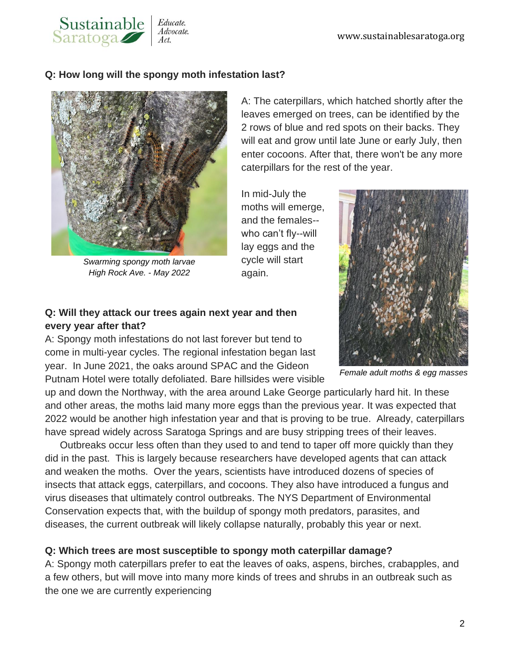# **Q: How long will the spongy moth infestation last?**

Educate. Advocate.



Sustainable<br>Saratoga

*Swarming spongy moth larvae High Rock Ave. - May 2022*

A: The caterpillars, which hatched shortly after the leaves emerged on trees, can be identified by the 2 rows of blue and red spots on their backs. They will eat and grow until late June or early July, then enter cocoons. After that, there won't be any more caterpillars for the rest of the year.

In mid-July the moths will emerge, and the females- who can't fly--will lay eggs and the cycle will start again.

# **Q: Will they attack our trees again next year and then every year after that?**

A: Spongy moth infestations do not last forever but tend to come in multi-year cycles. The regional infestation began last year. In June 2021, the oaks around SPAC and the Gideon Putnam Hotel were totally defoliated. Bare hillsides were visible

up and down the Northway, with the area around Lake George particularly hard hit. In these and other areas, the moths laid many more eggs than the previous year. It was expected that 2022 would be another high infestation year and that is proving to be true. Already, caterpillars have spread widely across Saratoga Springs and are busy stripping trees of their leaves.

Outbreaks occur less often than they used to and tend to taper off more quickly than they did in the past. This is largely because researchers have developed agents that can attack and weaken the moths. Over the years, scientists have introduced dozens of species of insects that attack eggs, caterpillars, and cocoons. They also have introduced a fungus and virus diseases that ultimately control outbreaks. The NYS Department of Environmental Conservation expects that, with the buildup of spongy moth predators, parasites, and diseases, the current outbreak will likely collapse naturally, probably this year or next.

#### **Q: Which trees are most susceptible to spongy moth caterpillar damage?**

A: Spongy moth caterpillars prefer to eat the leaves of oaks, aspens, birches, crabapples, and a few others, but will move into many more kinds of trees and shrubs in an outbreak such as the one we are currently experiencing



*Female adult moths & egg masses*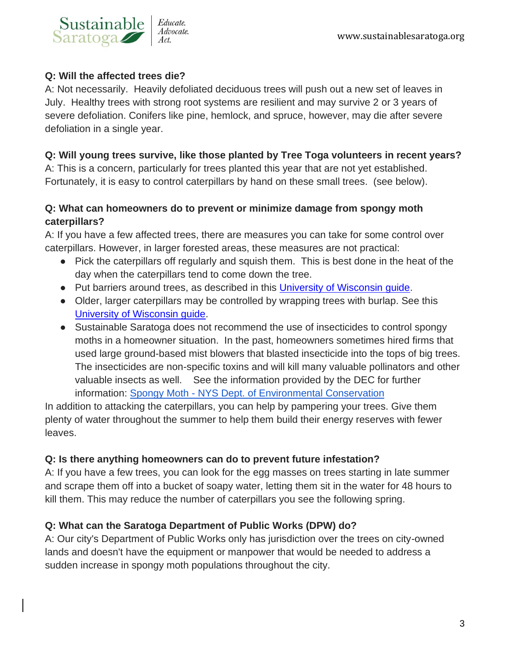

#### **Q: Will the affected trees die?**

A: Not necessarily. Heavily defoliated deciduous trees will push out a new set of leaves in July. Healthy trees with strong root systems are resilient and may survive 2 or 3 years of severe defoliation. Conifers like pine, hemlock, and spruce, however, may die after severe defoliation in a single year.

# **Q: Will young trees survive, like those planted by Tree Toga volunteers in recent years?**

A: This is a concern, particularly for trees planted this year that are not yet established. Fortunately, it is easy to control caterpillars by hand on these small trees. (see below).

# **Q: What can homeowners do to prevent or minimize damage from spongy moth caterpillars?**

A: If you have a few affected trees, there are measures you can take for some control over caterpillars. However, in larger forested areas, these measures are not practical:

- Pick the caterpillars off regularly and squish them. This is best done in the heat of the day when the caterpillars tend to come down the tree.
- Put barriers around trees, as described in this [University of Wisconsin guide.](https://fyi.extension.wisc.edu/gypsymothinwisconsin/making-a-sticky-barrier-band/)
- Older, larger caterpillars may be controlled by wrapping trees with burlap. See this [University of Wisconsin guide.](https://fyi.extension.wisc.edu/gypsymothinwisconsin/making-a-burlap-barrier-band-trap/)
- Sustainable Saratoga does not recommend the use of insecticides to control spongy moths in a homeowner situation. In the past, homeowners sometimes hired firms that used large ground-based mist blowers that blasted insecticide into the tops of big trees. The insecticides are non-specific toxins and will kill many valuable pollinators and other valuable insects as well. See the information provided by the DEC for further information: Spongy Moth - [NYS Dept. of Environmental Conservation](https://www.dec.ny.gov/animals/83118.html#Control)

In addition to attacking the caterpillars, you can help by pampering your trees. Give them plenty of water throughout the summer to help them build their energy reserves with fewer leaves.

#### **Q: Is there anything homeowners can do to prevent future infestation?**

A: If you have a few trees, you can look for the egg masses on trees starting in late summer and scrape them off into a bucket of soapy water, letting them sit in the water for 48 hours to kill them. This may reduce the number of caterpillars you see the following spring.

# **Q: What can the Saratoga Department of Public Works (DPW) do?**

A: Our city's Department of Public Works only has jurisdiction over the trees on city-owned lands and doesn't have the equipment or manpower that would be needed to address a sudden increase in spongy moth populations throughout the city.